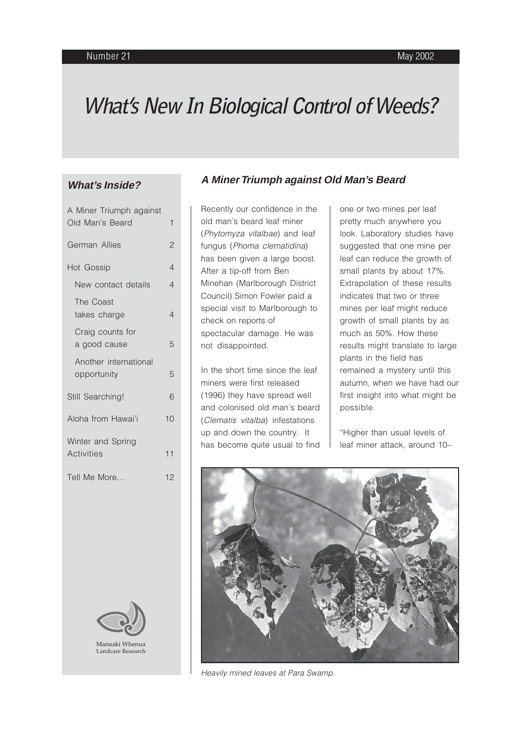# **What's New In Biological Control of Weeds?**

## **What's Inside?**

| A Miner Triumph against                      |                |
|----------------------------------------------|----------------|
| Old Man's Beard                              | $\mathbf{1}$   |
| German Allies                                |                |
| Hot Gossip                                   | $\overline{4}$ |
| New contact details                          | $\overline{4}$ |
| The Coast<br>takes charge                    | 4              |
| Craig counts for<br>a good cause             | 5              |
| Another international<br>opportunity         | 5              |
| Still Searching!                             | 6              |
| Aloha from Hawai'i                           |                |
| Winter and Spring<br><b>Activities</b><br>11 |                |
| Tell Me More<br>12                           |                |
|                                              |                |



#### **A Miner Triumph against Old Man's Beard**

Recently our confidence in the old man's beard leaf miner (Phytomyza vitalbae) and leaf fungus (Phoma clematidina) has been given a large boost. After a tip-off from Ben Minehan (Marlborough District Council) Simon Fowler paid a special visit to Marlborough to check on reports of spectacular damage. He was not disappointed.

In the short time since the leaf miners were first released (1996) they have spread well and colonised old man's beard (Clematis vitalba) infestations up and down the country. It has become quite usual to find

one or two mines per leaf pretty much anywhere you look. Laboratory studies have suggested that one mine per leaf can reduce the growth of small plants by about 17%. Extrapolation of these results indicates that two or three mines per leaf might reduce growth of small plants by as much as 50%. How these results might translate to large plants in the field has remained a mystery until this autumn, when we have had our first insight into what might be possible.

"Higher than usual levels of leaf miner attack, around 10–



Heavily mined leaves at Para Swamp.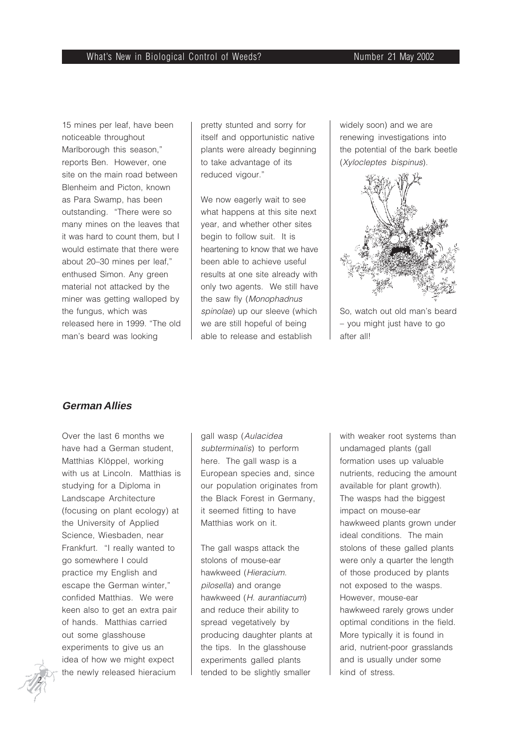15 mines per leaf, have been noticeable throughout Marlborough this season," reports Ben. However, one site on the main road between Blenheim and Picton, known as Para Swamp, has been outstanding. "There were so many mines on the leaves that it was hard to count them, but I would estimate that there were about 20–30 mines per leaf," enthused Simon. Any green material not attacked by the miner was getting walloped by the fungus, which was released here in 1999. "The old man's beard was looking

pretty stunted and sorry for itself and opportunistic native plants were already beginning to take advantage of its reduced vigour."

We now eagerly wait to see what happens at this site next year, and whether other sites begin to follow suit. It is heartening to know that we have been able to achieve useful results at one site already with only two agents. We still have the saw fly (Monophadnus spinolae) up our sleeve (which we are still hopeful of being able to release and establish

widely soon) and we are renewing investigations into the potential of the bark beetle (Xylocleptes bispinus).



So, watch out old man's beard – you might just have to go after all!

## **German Allies**

Over the last 6 months we have had a German student, Matthias Klöppel, working with us at Lincoln. Matthias is studying for a Diploma in Landscape Architecture (focusing on plant ecology) at the University of Applied Science, Wiesbaden, near Frankfurt. "I really wanted to go somewhere I could practice my English and escape the German winter," confided Matthias. We were keen also to get an extra pair of hands. Matthias carried out some glasshouse experiments to give us an idea of how we might expect the newly released hieracium

gall wasp (Aulacidea subterminalis) to perform here. The gall wasp is a European species and, since our population originates from the Black Forest in Germany, it seemed fitting to have Matthias work on it.

The gall wasps attack the stolons of mouse-ear hawkweed (Hieracium. pilosella) and orange hawkweed (H. aurantiacum) and reduce their ability to spread vegetatively by producing daughter plants at the tips. In the glasshouse experiments galled plants tended to be slightly smaller

with weaker root systems than undamaged plants (gall formation uses up valuable nutrients, reducing the amount available for plant growth). The wasps had the biggest impact on mouse-ear hawkweed plants grown under ideal conditions. The main stolons of these galled plants were only a quarter the length of those produced by plants not exposed to the wasps. However, mouse-ear hawkweed rarely grows under optimal conditions in the field. More typically it is found in arid, nutrient-poor grasslands and is usually under some kind of stress.

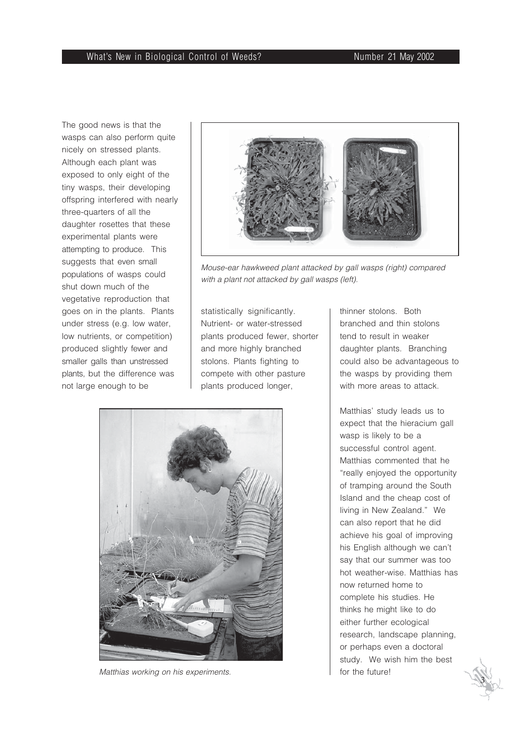The good news is that the wasps can also perform quite nicely on stressed plants. Although each plant was exposed to only eight of the tiny wasps, their developing offspring interfered with nearly three-quarters of all the daughter rosettes that these experimental plants were attempting to produce. This suggests that even small populations of wasps could shut down much of the vegetative reproduction that goes on in the plants. Plants under stress (e.g. low water, low nutrients, or competition) produced slightly fewer and smaller galls than unstressed plants, but the difference was not large enough to be



Mouse-ear hawkweed plant attacked by gall wasps (right) compared with a plant not attacked by gall wasps (left).

statistically significantly. Nutrient- or water-stressed plants produced fewer, shorter and more highly branched stolons. Plants fighting to compete with other pasture plants produced longer,



Matthias working on his experiments. The matthias working on his experiments.

thinner stolons. Both branched and thin stolons tend to result in weaker daughter plants. Branching could also be advantageous to the wasps by providing them with more areas to attack.

Matthias' study leads us to expect that the hieracium gall wasp is likely to be a successful control agent. Matthias commented that he "really enjoyed the opportunity of tramping around the South Island and the cheap cost of living in New Zealand." We can also report that he did achieve his goal of improving his English although we can't say that our summer was too hot weather-wise. Matthias has now returned home to complete his studies. He thinks he might like to do either further ecological research, landscape planning, or perhaps even a doctoral study. We wish him the best

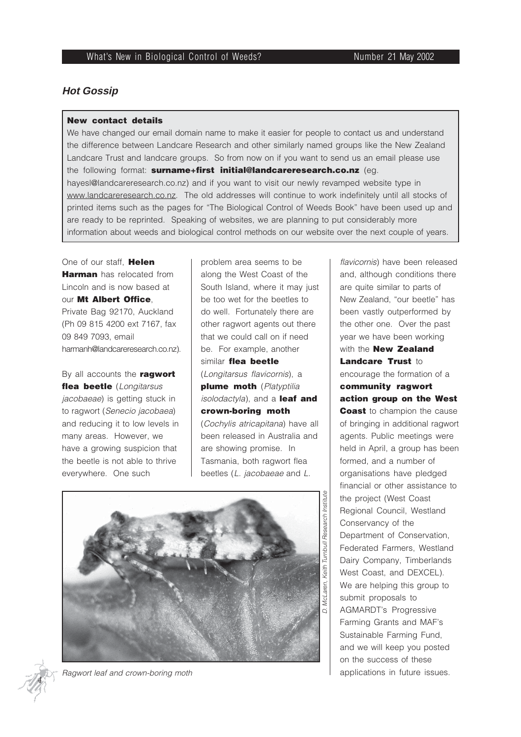## **Hot Gossip**

#### **New contact details**

We have changed our email domain name to make it easier for people to contact us and understand the difference between Landcare Research and other similarly named groups like the New Zealand Landcare Trust and landcare groups. So from now on if you want to send us an email please use the following format: **surname+first initial@landcareresearch.co.nz** (eg. hayesl@landcareresearch.co.nz) and if you want to visit our newly revamped website type in www.landcareresearch.co.nz. The old addresses will continue to work indefinitely until all stocks of printed items such as the pages for "The Biological Control of Weeds Book" have been used up and are ready to be reprinted. Speaking of websites, we are planning to put considerably more information about weeds and biological control methods on our website over the next couple of years.

One of our staff, **Helen Harman** has relocated from Lincoln and is now based at our **Mt Albert Office**, Private Bag 92170, Auckland (Ph 09 815 4200 ext 7167, fax 09 849 7093, email harmanh@landcareresearch.co.nz).

By all accounts the **ragwort** flea beetle (Longitarsus jacobaeae) is getting stuck in to ragwort (Senecio jacobaea) and reducing it to low levels in many areas. However, we have a growing suspicion that the beetle is not able to thrive everywhere. One such

problem area seems to be along the West Coast of the South Island, where it may just be too wet for the beetles to do well. Fortunately there are other ragwort agents out there that we could call on if need be. For example, another similar **flea beetle** (Longitarsus flavicornis), a **plume moth** (Platyptilia isolodactyla), and a **leaf and crown-boring moth** (Cochylis atricapitana) have all been released in Australia and are showing promise. In

Tasmania, both ragwort flea beetles (L. jacobaeae and L.





Ragwort leaf and crown-boring moth

flavicornis) have been released and, although conditions there are quite similar to parts of New Zealand, "our beetle" has been vastly outperformed by the other one. Over the past year we have been working with the **New Zealand** Landcare Trust to encourage the formation of a **community ragwort action group on the West Coast** to champion the cause of bringing in additional ragwort agents. Public meetings were held in April, a group has been formed, and a number of organisations have pledged financial or other assistance to the project (West Coast Regional Council, Westland Conservancy of the Department of Conservation, Federated Farmers, Westland Dairy Company, Timberlands West Coast, and DEXCEL). We are helping this group to submit proposals to AGMARDT's Progressive Farming Grants and MAF's Sustainable Farming Fund, and we will keep you posted on the success of these applications in future issues.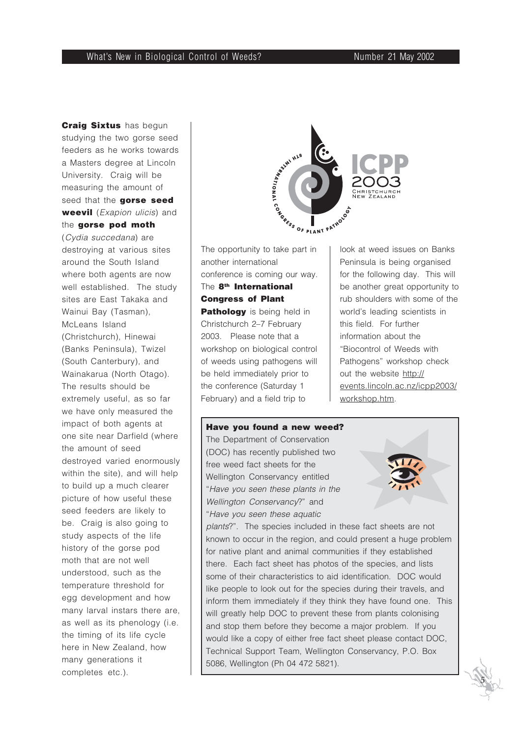**Craig Sixtus** has begun studying the two gorse seed feeders as he works towards a Masters degree at Lincoln University. Craig will be measuring the amount of seed that the **gorse seed weevil** (Exapion ulicis) and the **gorse pod moth**

(Cydia succedana) are destroying at various sites around the South Island where both agents are now well established. The study sites are East Takaka and Wainui Bay (Tasman), McLeans Island (Christchurch), Hinewai (Banks Peninsula), Twizel (South Canterbury), and Wainakarua (North Otago). The results should be extremely useful, as so far we have only measured the impact of both agents at one site near Darfield (where the amount of seed destroyed varied enormously within the site), and will help to build up a much clearer picture of how useful these seed feeders are likely to be. Craig is also going to study aspects of the life history of the gorse pod moth that are not well understood, such as the temperature threshold for egg development and how many larval instars there are, as well as its phenology (i.e. the timing of its life cycle here in New Zealand, how many generations it completes etc.).



The opportunity to take part in another international conference is coming our way. The **8th International Congress of Plant Pathology** is being held in Christchurch 2–7 February 2003. Please note that a workshop on biological control of weeds using pathogens will be held immediately prior to the conference (Saturday 1 February) and a field trip to

5086, Wellington (Ph 04 472 5821).

look at weed issues on Banks Peninsula is being organised for the following day. This will be another great opportunity to rub shoulders with some of the world's leading scientists in this field. For further information about the "Biocontrol of Weeds with Pathogens" workshop check out the website http:// events.lincoln.ac.nz/icpp2003/ workshop.htm.

 *5*

## **Have you found a new weed?** The Department of Conservation (DOC) has recently published two free weed fact sheets for the Wellington Conservancy entitled "Have you seen these plants in the Wellington Conservancy?" and "Have you seen these aquatic plants?". The species included in these fact sheets are not known to occur in the region, and could present a huge problem for native plant and animal communities if they established there. Each fact sheet has photos of the species, and lists some of their characteristics to aid identification. DOC would like people to look out for the species during their travels, and inform them immediately if they think they have found one. This will greatly help DOC to prevent these from plants colonising and stop them before they become a major problem. If you would like a copy of either free fact sheet please contact DOC, Technical Support Team, Wellington Conservancy, P.O. Box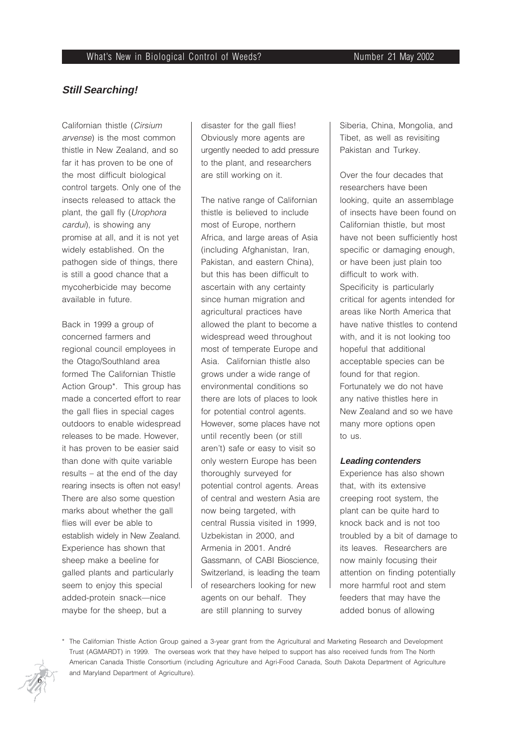#### **Still Searching!**

Californian thistle (Cirsium arvense) is the most common thistle in New Zealand, and so far it has proven to be one of the most difficult biological control targets. Only one of the insects released to attack the plant, the gall fly (Urophora cardui), is showing any promise at all, and it is not yet widely established. On the pathogen side of things, there is still a good chance that a mycoherbicide may become available in future.

Back in 1999 a group of concerned farmers and regional council employees in the Otago/Southland area formed The Californian Thistle Action Group\*. This group has made a concerted effort to rear the gall flies in special cages outdoors to enable widespread releases to be made. However, it has proven to be easier said than done with quite variable results – at the end of the day rearing insects is often not easy! There are also some question marks about whether the gall flies will ever be able to establish widely in New Zealand. Experience has shown that sheep make a beeline for galled plants and particularly seem to enjoy this special added-protein snack—nice maybe for the sheep, but a

disaster for the gall flies! Obviously more agents are urgently needed to add pressure to the plant, and researchers are still working on it.

The native range of Californian thistle is believed to include most of Europe, northern Africa, and large areas of Asia (including Afghanistan, Iran, Pakistan, and eastern China), but this has been difficult to ascertain with any certainty since human migration and agricultural practices have allowed the plant to become a widespread weed throughout most of temperate Europe and Asia. Californian thistle also grows under a wide range of environmental conditions so there are lots of places to look for potential control agents. However, some places have not until recently been (or still aren't) safe or easy to visit so only western Europe has been thoroughly surveyed for potential control agents. Areas of central and western Asia are now being targeted, with central Russia visited in 1999, Uzbekistan in 2000, and Armenia in 2001. André Gassmann, of CABI Bioscience, Switzerland, is leading the team of researchers looking for new agents on our behalf. They are still planning to survey

Siberia, China, Mongolia, and Tibet, as well as revisiting Pakistan and Turkey.

Over the four decades that researchers have been looking, quite an assemblage of insects have been found on Californian thistle, but most have not been sufficiently host specific or damaging enough, or have been just plain too difficult to work with. Specificity is particularly critical for agents intended for areas like North America that have native thistles to contend with, and it is not looking too hopeful that additional acceptable species can be found for that region. Fortunately we do not have any native thistles here in New Zealand and so we have many more options open to us.

#### **Leading contenders**

Experience has also shown that, with its extensive creeping root system, the plant can be quite hard to knock back and is not too troubled by a bit of damage to its leaves. Researchers are now mainly focusing their attention on finding potentially more harmful root and stem feeders that may have the added bonus of allowing

\* The Californian Thistle Action Group gained a 3-year grant from the Agricultural and Marketing Research and Development Trust (AGMARDT) in 1999. The overseas work that they have helped to support has also received funds from The North American Canada Thistle Consortium (including Agriculture and Agri-Food Canada, South Dakota Department of Agriculture and Maryland Department of Agriculture).

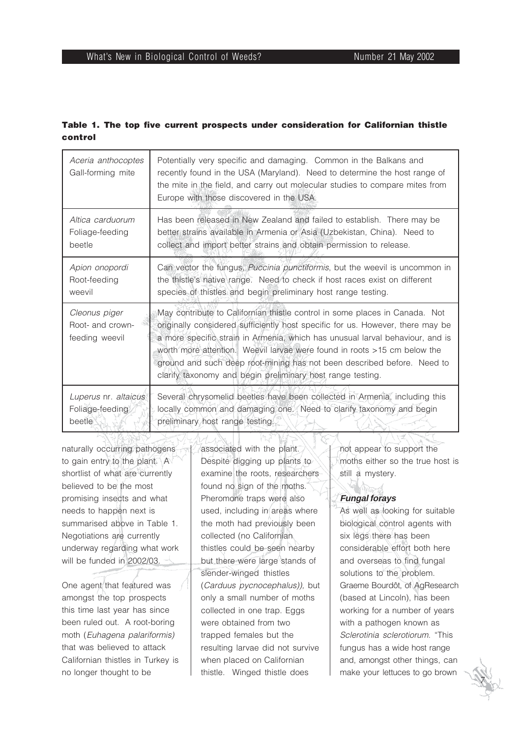## **Table 1. The top five current prospects under consideration for Californian thistle control**

| Aceria anthocoptes<br>Gall-forming mite             | Potentially very specific and damaging. Common in the Balkans and<br>recently found in the USA (Maryland). Need to determine the host range of<br>the mite in the field, and carry out molecular studies to compare mites from<br>Europe with those discovered in the USA.                                                                                                                                                                                          |
|-----------------------------------------------------|---------------------------------------------------------------------------------------------------------------------------------------------------------------------------------------------------------------------------------------------------------------------------------------------------------------------------------------------------------------------------------------------------------------------------------------------------------------------|
| Altica carduorum                                    | Has been released in New Zealand and failed to establish. There may be                                                                                                                                                                                                                                                                                                                                                                                              |
| Foliage-feeding                                     | better strains available in Armenia or Asia (Uzbekistan, China). Need to                                                                                                                                                                                                                                                                                                                                                                                            |
| beetle                                              | collect and import better strains and obtain permission to release.                                                                                                                                                                                                                                                                                                                                                                                                 |
| Apion onopordi                                      | Can vector the fungus, Puccinia punctiformis, but the weevil is uncommon in                                                                                                                                                                                                                                                                                                                                                                                         |
| Root-feeding                                        | the thistle's native range. Need to check if host races exist on different                                                                                                                                                                                                                                                                                                                                                                                          |
| weevil                                              | species of thistles and begin preliminary host range testing.                                                                                                                                                                                                                                                                                                                                                                                                       |
| Cleonus piger<br>Root- and crown-<br>feeding weevil | May contribute to Californian thistle control in some places in Canada. Not<br>originally considered sufficiently host specific for us. However, there may be<br>a more specific strain in Armenia, which has unusual larval behaviour, and is<br>worth more attention. Weevil larvae were found in roots >15 cm below the<br>ground and such deep root-mining has not been described before. Need to<br>clarify taxonomy and begin preliminary host range testing. |
| Luperus nr. altaicus                                | Several chrysomelid beetles have been collected in Armenia, including this                                                                                                                                                                                                                                                                                                                                                                                          |
| Foliage-feeding                                     | locally common and damaging one. Need to clarify taxonomy and begin                                                                                                                                                                                                                                                                                                                                                                                                 |
| beetle                                              | preliminary host range testing.                                                                                                                                                                                                                                                                                                                                                                                                                                     |

naturally occurring pathogens to gain entry to the plant. A shortlist of what are currently believed to be the most promising insects and what needs to happen next is summarised above in Table 1. Negotiations are currently underway regarding what work will be funded in 2002/03.

One agent that featured was amongst the top prospects this time last year has since been ruled out. A root-boring moth (Euhagena palariformis) that was believed to attack Californian thistles in Turkey is no longer thought to be

associated with the plant. Despite digging up plants to examine the roots, researchers found no sign of the moths. Pheromone traps were also used, including in areas where the moth had previously been collected (no Californian thistles could be seen nearby but there were large stands of slender-winged thistles (Carduus pycnocephalus)), but only a small number of moths collected in one trap. Eggs were obtained from two trapped females but the resulting larvae did not survive when placed on Californian thistle. Winged thistle does

not appear to support the moths either so the true host is still a mystery.

## **Fungal forays**

As well as looking for suitable biological control agents with six legs there has been considerable effort both here and overseas to find fungal solutions to the problem. Graeme Bourdôt, of AgResearch (based at Lincoln), has been working for a number of years with a pathogen known as Sclerotinia sclerotiorum. "This fungus has a wide host range and, amongst other things, can make your lettuces to go brown

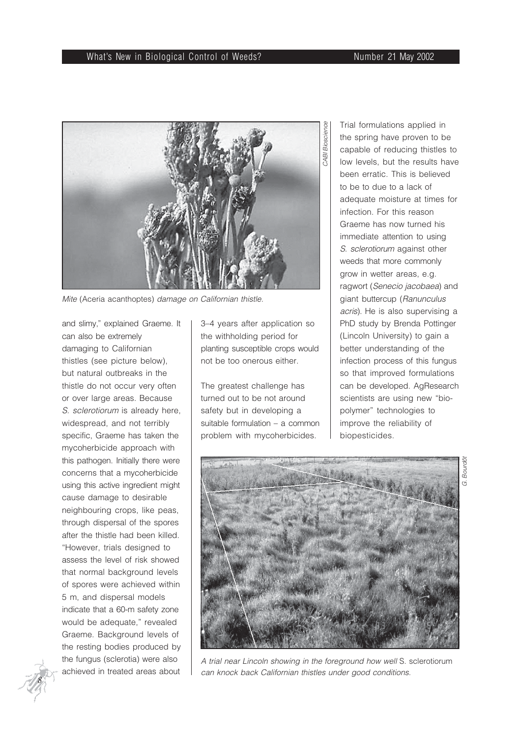#### What's New in Biological Control of Weeds? Number 21 May 2002



Mite (Aceria acanthoptes) damage on Californian thistle.

and slimy," explained Graeme. It can also be extremely damaging to Californian thistles (see picture below), but natural outbreaks in the thistle do not occur very often or over large areas. Because S. sclerotiorum is already here. widespread, and not terribly specific, Graeme has taken the mycoherbicide approach with this pathogen. Initially there were concerns that a mycoherbicide using this active ingredient might cause damage to desirable neighbouring crops, like peas, through dispersal of the spores after the thistle had been killed. "However, trials designed to assess the level of risk showed that normal background levels of spores were achieved within 5 m, and dispersal models indicate that a 60-m safety zone would be adequate," revealed Graeme. Background levels of the resting bodies produced by the fungus (sclerotia) were also achieved in treated areas about

 *8*

3–4 years after application so the withholding period for planting susceptible crops would not be too onerous either.

The greatest challenge has turned out to be not around safety but in developing a suitable formulation – a common problem with mycoherbicides.

Trial formulations applied in the spring have proven to be capable of reducing thistles to low levels, but the results have been erratic. This is believed to be to due to a lack of adequate moisture at times for infection. For this reason Graeme has now turned his immediate attention to using S. sclerotiorum against other weeds that more commonly grow in wetter areas, e.g. ragwort (Senecio jacobaea) and giant buttercup (Ranunculus acris). He is also supervising a PhD study by Brenda Pottinger (Lincoln University) to gain a better understanding of the infection process of this fungus so that improved formulations can be developed. AgResearch scientists are using new "biopolymer" technologies to improve the reliability of biopesticides.



A trial near Lincoln showing in the foreground how well S. sclerotiorum can knock back Californian thistles under good conditions.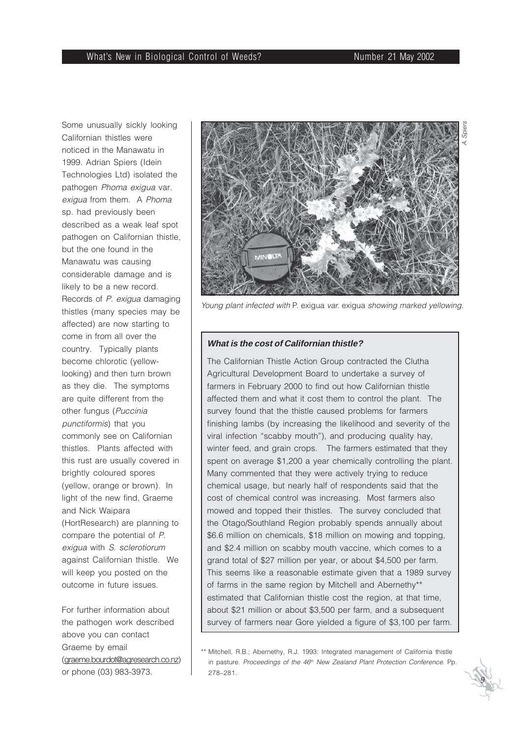Some unusually sickly looking Californian thistles were noticed in the Manawatu in 1999. Adrian Spiers (Idein Technologies Ltd) isolated the pathogen Phoma exigua var. exigua from them. A Phoma sp. had previously been described as a weak leaf spot pathogen on Californian thistle, but the one found in the Manawatu was causing considerable damage and is likely to be a new record. Records of P. exigua damaging thistles (many species may be affected) are now starting to come in from all over the country. Typically plants become chlorotic (yellowlooking) and then turn brown as they die. The symptoms are quite different from the other fungus (Puccinia punctiformis) that you commonly see on Californian thistles. Plants affected with this rust are usually covered in brightly coloured spores (yellow, orange or brown). In light of the new find, Graeme and Nick Waipara (HortResearch) are planning to compare the potential of P. exigua with S. sclerotiorum against Californian thistle. We will keep you posted on the outcome in future issues.

For further information about the pathogen work described above you can contact Graeme by email (graeme.bourdot@agresearch.co.nz) or phone (03) 983-3973.



Young plant infected with P. exigua var. exigua showing marked yellowing.

#### **What is the cost of Californian thistle?**

The Californian Thistle Action Group contracted the Clutha Agricultural Development Board to undertake a survey of farmers in February 2000 to find out how Californian thistle affected them and what it cost them to control the plant. The survey found that the thistle caused problems for farmers finishing lambs (by increasing the likelihood and severity of the viral infection "scabby mouth"), and producing quality hay, winter feed, and grain crops. The farmers estimated that they spent on average \$1,200 a year chemically controlling the plant. Many commented that they were actively trying to reduce chemical usage, but nearly half of respondents said that the cost of chemical control was increasing. Most farmers also mowed and topped their thistles. The survey concluded that the Otago/Southland Region probably spends annually about \$6.6 million on chemicals, \$18 million on mowing and topping, and \$2.4 million on scabby mouth vaccine, which comes to a grand total of \$27 million per year, or about \$4,500 per farm. This seems like a reasonable estimate given that a 1989 survey of farms in the same region by Mitchell and Abernethy\*\* estimated that Californian thistle cost the region, at that time, about \$21 million or about \$3,500 per farm, and a subsequent survey of farmers near Gore yielded a figure of \$3,100 per farm.

<sup>\*\*</sup> Mitchell, R.B.; Abernethy, R.J. 1993: Integrated management of California thistle in pasture. Proceedings of the 46<sup>th</sup> New Zealand Plant Protection Conference. Pp. 278–281.

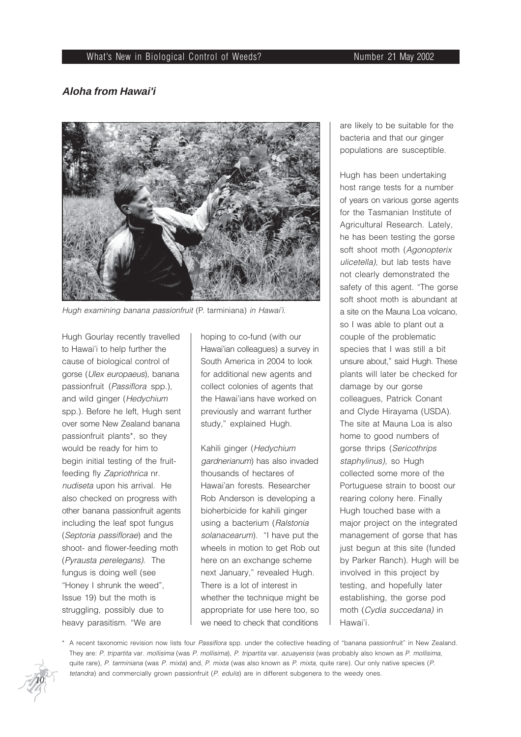#### What's New in Biological Control of Weeds? Number 21 May 2002

#### **Aloha from Hawai'i**



Hugh examining banana passionfruit (P. tarminiana) in Hawai'i.

Hugh Gourlay recently travelled to Hawai'i to help further the cause of biological control of gorse (Ulex europaeus), banana passionfruit (Passiflora spp.), and wild ginger (Hedychium spp.). Before he left, Hugh sent over some New Zealand banana passionfruit plants\*, so they would be ready for him to begin initial testing of the fruitfeeding fly Zapriothrica nr. nudiseta upon his arrival. He also checked on progress with other banana passionfruit agents including the leaf spot fungus (Septoria passiflorae) and the shoot- and flower-feeding moth (Pyrausta perelegans). The fungus is doing well (see "Honey I shrunk the weed", Issue 19) but the moth is struggling, possibly due to heavy parasitism. "We are

hoping to co-fund (with our Hawai'ian colleagues) a survey in South America in 2004 to look for additional new agents and collect colonies of agents that the Hawai'ians have worked on previously and warrant further study," explained Hugh.

Kahili ginger (Hedychium gardnerianum) has also invaded thousands of hectares of Hawai'an forests. Researcher Rob Anderson is developing a bioherbicide for kahili ginger using a bacterium (Ralstonia solanacearum). "I have put the wheels in motion to get Rob out here on an exchange scheme next January," revealed Hugh. There is a lot of interest in whether the technique might be appropriate for use here too, so we need to check that conditions

are likely to be suitable for the bacteria and that our ginger populations are susceptible.

Hugh has been undertaking host range tests for a number of years on various gorse agents for the Tasmanian Institute of Agricultural Research. Lately, he has been testing the gorse soft shoot moth (Agonopterix ulicetella), but lab tests have not clearly demonstrated the safety of this agent. "The gorse soft shoot moth is abundant at a site on the Mauna Loa volcano, so I was able to plant out a couple of the problematic species that I was still a bit unsure about," said Hugh. These plants will later be checked for damage by our gorse colleagues, Patrick Conant and Clyde Hirayama (USDA). The site at Mauna Loa is also home to good numbers of gorse thrips (Sericothrips staphylinus), so Hugh collected some more of the Portuguese strain to boost our rearing colony here. Finally Hugh touched base with a major project on the integrated management of gorse that has just begun at this site (funded by Parker Ranch). Hugh will be involved in this project by testing, and hopefully later establishing, the gorse pod moth (Cydia succedana) in Hawai'i.

\* A recent taxonomic revision now lists four Passiflora spp. under the collective heading of "banana passionfruit" in New Zealand. They are: P. tripartita var. mollisima (was P. mollisima), P. tripartita var. azuayensis (was probably also known as P. mollisima, quite rare), P. tarminiana (was P. mixta) and, P. mixta (was also known as P. mixta, quite rare). Our only native species (P. tetandra) and commercially grown passionfruit (P. edulis) are in different subgenera to the weedy ones.

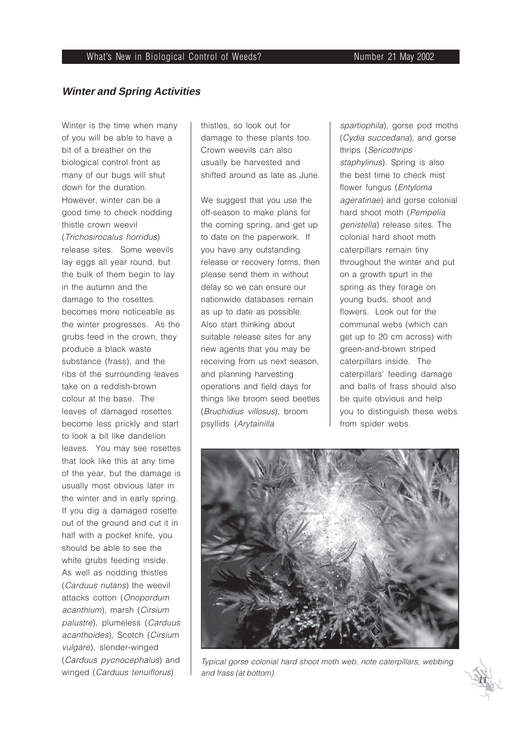## **Winter and Spring Activities**

Winter is the time when many of you will be able to have a bit of a breather on the biological control front as many of our bugs will shut down for the duration. However, winter can be a good time to check nodding thistle crown weevil (Trichosirocalus horridus) release sites. Some weevils lay eggs all year round, but the bulk of them begin to lay in the autumn and the damage to the rosettes becomes more noticeable as the winter progresses. As the grubs feed in the crown, they produce a black waste substance (frass), and the ribs of the surrounding leaves take on a reddish-brown colour at the base. The leaves of damaged rosettes become less prickly and start to look a bit like dandelion leaves. You may see rosettes that look like this at any time of the year, but the damage is usually most obvious later in the winter and in early spring. If you dig a damaged rosette out of the ground and cut it in half with a pocket knife, you should be able to see the white grubs feeding inside. As well as nodding thistles (Carduus nutans) the weevil attacks cotton (Onopordum acanthium), marsh (Cirsium palustre), plumeless (Carduus acanthoides), Scotch (Cirsium vulgare), slender-winged (Carduus pycnocephalus) and winged (Carduus tenuiflorus)

thistles, so look out for damage to these plants too. Crown weevils can also usually be harvested and shifted around as late as June.

We suggest that you use the off-season to make plans for the coming spring, and get up to date on the paperwork. If you have any outstanding release or recovery forms, then please send them in without delay so we can ensure our nationwide databases remain as up to date as possible. Also start thinking about suitable release sites for any new agents that you may be receiving from us next season, and planning harvesting operations and field days for things like broom seed beetles (Bruchidius villosus), broom psyllids (Arytainilla

spartiophila), gorse pod moths (Cydia succedana), and gorse thrips (Sericothrips staphylinus). Spring is also the best time to check mist flower fungus (Entyloma ageratinae) and gorse colonial hard shoot moth (Pempelia genistella) release sites. The colonial hard shoot moth caterpillars remain tiny throughout the winter and put on a growth spurt in the spring as they forage on young buds, shoot and flowers. Look out for the communal webs (which can get up to 20 cm across) with green-and-brown striped caterpillars inside. The caterpillars' feeding damage and balls of frass should also be quite obvious and help you to distinguish these webs from spider webs.



Typical gorse colonial hard shoot moth web, note caterpillars, webbing and frass (at bottom).